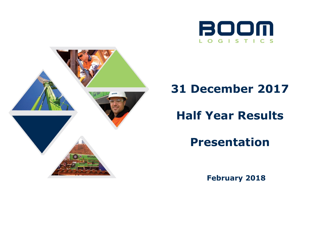



# **31 December 2017**

# **Half Year Results**

**Presentation**

**February 2018**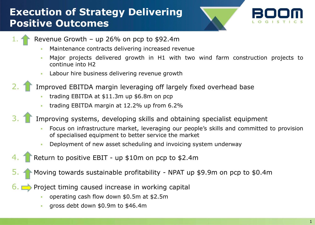## **Execution of Strategy Delivering Positive Outcomes**



Revenue Growth – up 26% on pcp to  $$92.4m$ 

- Maintenance contracts delivering increased revenue
- Major projects delivered growth in H1 with two wind farm construction projects to continue into H2
- **Labour hire business delivering revenue growth**
- 2. Improved EBITDA margin leveraging off largely fixed overhead base
	- trading EBITDA at \$11.3m up \$6.8m on pcp
	- trading EBITDA margin at 12.2% up from 6.2%
- Improving systems, developing skills and obtaining specialist equipment
	- Focus on infrastructure market, leveraging our people's skills and committed to provision of specialised equipment to better service the market
	- Deployment of new asset scheduling and invoicing system underway
	- Return to positive EBIT up \$10m on pcp to \$2.4m
	- 5. Moving towards sustainable profitability NPAT up \$9.9m on pcp to \$0.4m
- $6.$  Project timing caused increase in working capital
	- operating cash flow down \$0.5m at \$2.5m
	- gross debt down \$0.9m to \$46.4m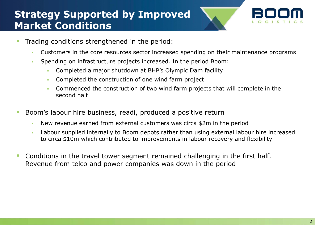### **Strategy Supported by Improved Market Conditions**



- Trading conditions strengthened in the period:
	- Customers in the core resources sector increased spending on their maintenance programs
	- Spending on infrastructure projects increased. In the period Boom:
		- Completed a major shutdown at BHP's Olympic Dam facility
		- Completed the construction of one wind farm project
		- Commenced the construction of two wind farm projects that will complete in the second half
- Boom's labour hire business, readi, produced a positive return
	- New revenue earned from external customers was circa \$2m in the period
	- Labour supplied internally to Boom depots rather than using external labour hire increased to circa \$10m which contributed to improvements in labour recovery and flexibility
- Conditions in the travel tower segment remained challenging in the first half. Revenue from telco and power companies was down in the period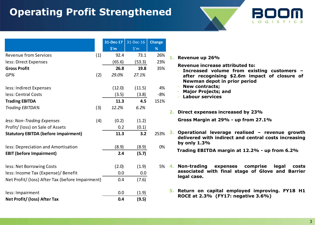#### **Operating Profit Strengthened**





|                                                  |     | 31-Dec-17      | 31-Dec-16 | <b>Change</b> |    |                 |
|--------------------------------------------------|-----|----------------|-----------|---------------|----|-----------------|
|                                                  |     | $$^{\prime}$ m | $\sin$    | %             |    |                 |
| <b>Revenue from Services</b>                     | (1) | 92.4           | 73.1      | 26%           | 1. | <b>Rev</b>      |
| less: Direct Expenses                            |     | (65.6)         | (53.3)    | 23%           |    |                 |
| <b>Gross Profit</b>                              |     | 26.8           | 19.8      | 35%           |    | <b>Rev</b><br>I |
| GP%                                              | (2) | 29.0%          | 27.1%     |               |    | a               |
|                                                  |     |                |           |               |    | Ŋ               |
| less: Indirect Expenses                          |     | (12.0)         | (11.5)    | 4%            |    | Ŋ               |
| less: Central Costs                              |     | (3.5)          | (3.8)     | $-8%$         |    | Ŋ<br>L          |
| <b>Trading EBITDA</b>                            |     | 11.3           | 4.5       | 151%          |    |                 |
| Trading EBITDA%                                  | (3) | 12.2%          | 6.2%      |               |    |                 |
|                                                  |     |                |           |               | 2. | Dir             |
| less: Non-Trading Expenses                       | (4) | (0.2)          | (1.2)     |               |    | Gro             |
| Profit/ (loss) on Sale of Assets                 |     | 0.2            | (0.1)     |               |    |                 |
| <b>Statutory EBITDA (before impairment)</b>      |     | 11.3           | 3.2       | 253%          | З. | Op              |
|                                                  |     |                |           |               |    | del<br>by       |
| less: Depreciation and Amortisation              |     | (8.9)          | (8.9)     | 0%            |    |                 |
| <b>EBIT (before Impairment)</b>                  |     | 2.4            | (5.7)     |               |    | <b>Tra</b>      |
| less: Net Borrowing Costs                        |     | (2.0)          | (1.9)     | 5%            |    | No              |
| less: Income Tax (Expense)/ Benefit              |     | 0.0            | 0.0       |               |    | ass             |
| Net Profit/ (loss) After Tax (before Impairment) |     | 0.4            | (7.6)     |               |    | leg             |
| less: Impairment                                 |     | 0.0            | (1.9)     |               | 5. | Ret             |
| Net Profit/ (loss) After Tax                     |     | 0.4            | (9.5)     |               |    | <b>RO</b>       |

| 5%                            | 1. | <b>Revenue up 26%</b>                                                                                                                                                                                                            |
|-------------------------------|----|----------------------------------------------------------------------------------------------------------------------------------------------------------------------------------------------------------------------------------|
| 3%<br>$5\%$<br>1%<br>3%<br>L% |    | Revenue increase attributed to:<br>Increased volume from existing customers -<br>after recognising \$2.6m impact of closure of<br>Newman depot in prior period<br>- New contracts;<br>- Major Projects; and<br>- Labour services |
|                               |    | 2. Direct expenses increased by 23%                                                                                                                                                                                              |
|                               |    | Gross Margin at 29% - up from 27.1%                                                                                                                                                                                              |
| 3%                            |    | 3. Operational leverage realised - revenue growth<br>delivered with indirect and central costs increasing<br>by only $1.3\%$                                                                                                     |
| )%                            |    | Trading EBITDA margin at 12.2% - up from 6.2%                                                                                                                                                                                    |
|                               |    | % 4. Non-trading expenses comprise legal costs<br>associated with final stage of Glove and Barrier<br>legal case.                                                                                                                |
|                               |    | 5. Return on capital employed improving. FY18 H1<br>ROCE at 2.3% (FY17: negative 3.6%)                                                                                                                                           |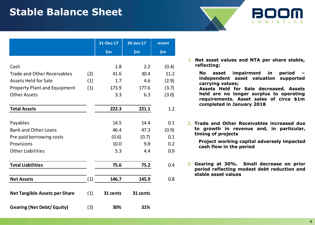#### **Stable Balance Sheet**

|                                      |     | 31-Dec-17 | 30-Jun-17 | mvmt  |
|--------------------------------------|-----|-----------|-----------|-------|
|                                      |     | \$m\$     | \$m\$     | \$m\$ |
|                                      |     |           |           |       |
| Cash                                 |     | 1.8       | 2.2       | (0.4) |
| <b>Trade and Other Receivables</b>   | (2) | 41.6      | 30.4      | 11.2  |
| <b>Assets Held for Sale</b>          | (1) | 1.7       | 4.6       | (2.9) |
| <b>Property Plant and Equipment</b>  | (1) | 173.9     | 177.6     | (3.7) |
| <b>Other Assets</b>                  |     | 3.3       | 6.3       | (3.0) |
| <b>Total Assets</b>                  |     | 222.3     | 221.1     | 1.2   |
|                                      |     |           |           |       |
| Payables                             |     | 14.5      | 14.4      | 0.1   |
| <b>Bank and Other Loans</b>          |     | 46.4      | 47.3      | (0.9) |
| Pre paid borrowing costs             |     | (0.6)     | (0.7)     | 0.1   |
| Provisions                           |     | 10.0      | 9.8       | 0.2   |
| <b>Other Liabilities</b>             |     | 5.3       | 4.4       | 0.9   |
| <b>Total Liabilities</b>             |     | 75.6      | 75.2      | 0.4   |
| <b>Net Assets</b>                    | (1) | 146.7     | 145.9     | 0.8   |
| <b>Net Tangible Assets per Share</b> | (1) | 31 cents  | 31 cents  |       |
| <b>Gearing (Net Debt/ Equity)</b>    | (3) | 30%       | 31%       |       |

**1. Net asset values and NTA per share stable, reflecting:**

LOGISTI

- **No asset impairment in period – independent asset valuation supported carrying values;**
- **Assets Held for Sale decreased. Assets held are no longer surplus to operating requirements. Asset sales of circa \$1m completed in January 2018**
- **2. Trade and Other Receivables increased due to growth in revenue and, in particular, timing of projects**
	- **Project working capital adversely impacted cash flow in the period**
- **3. Gearing at 30%. Small decrease on prior period reflecting modest debt reduction and stable asset values**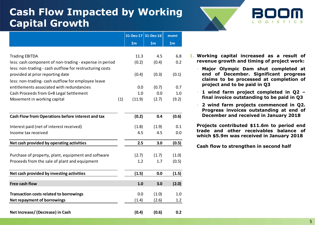### **Cash Flow Impacted by Working Capital Growth**





|                                                          |     |        | 31-Dec-17 31-Dec-16 | mvmt  |
|----------------------------------------------------------|-----|--------|---------------------|-------|
|                                                          |     | \$m\$  | \$m\$               | \$m\$ |
|                                                          |     |        |                     |       |
| <b>Trading EBITDA</b>                                    |     | 11.3   | 4.5                 | 6.8   |
| less: cash component of non-trading - expense in period  |     | (0.2)  | (0.4)               | 0.2   |
| less: non-trading - cash outflow for restructuring costs |     |        |                     |       |
| provided at prior reporting date                         |     | (0.4)  | (0.3)               | (0.1) |
| less: non-trading- cash outflow for employee leave       |     |        |                     |       |
| entitlements associated with redundancies                |     | 0.0    | (0.7)               | 0.7   |
| Cash Proceeds from G+B Legal Settlement                  |     | 1.0    | 0.0                 | 1.0   |
| Movement in working capital                              | (1) | (11.9) | (2.7)               | (9.2) |
|                                                          |     |        |                     |       |
| Cash Flow from Operations before interest and tax        |     | (0.2)  | 0.4                 | (0.6) |
| Interest paid (net of interest received)                 |     | (1.8)  | (1.9)               | 0.1   |
| Income tax received                                      |     | 4.5    | 4.5                 | 0.0   |
| Net cash provided by operating activities                |     | 2.5    | 3.0                 | (0.5) |
| Purchase of property, plant, equipment and software      |     | (2.7)  | (1.7)               | (1.0) |
| Proceeds from the sale of plant and equipment            |     | 1.2    | 1.7                 | (0.5) |
|                                                          |     |        |                     |       |
| Net cash provided by investing activities                |     | (1.5)  | 0.0                 | (1.5) |
| Free cash flow                                           |     | 1.0    | 3.0                 | (2.0) |
| <b>Transaction costs related to borrowings</b>           |     | 0.0    | (1.0)               | 1.0   |
| Net repayment of borrowings                              |     | (1.4)  | (2.6)               | 1.2   |
|                                                          |     |        |                     |       |
| Net Increase/(Decrease) in Cash                          |     | (0.4)  | (0.6)               | 0.2   |

- **1. Working capital increased as a result of revenue growth and timing of project work:**
	- **Major Olympic Dam shut completed at end of December. Significant progress claims to be processed at completion of project and to be paid in Q3**
	- **1 wind farm project completed in Q2 – final invoice outstanding to be paid in Q3**
	- **2 wind farm projects commenced in Q2. Progress invoices outstanding at end of December and received in January 2018**

**Projects contributed \$11.6m to period end trade and other receivables balance of which \$5.9m was received in January 2018**

**Cash flow to strengthen in second half**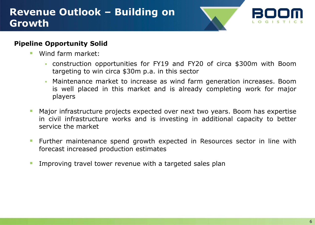#### **Revenue Outlook – Building on Growth**



#### **Pipeline Opportunity Solid**

- Wind farm market:
	- construction opportunities for FY19 and FY20 of circa \$300m with Boom targeting to win circa \$30m p.a. in this sector
	- Maintenance market to increase as wind farm generation increases. Boom is well placed in this market and is already completing work for major players
- **Major infrastructure projects expected over next two years. Boom has expertise** in civil infrastructure works and is investing in additional capacity to better service the market
- **Further maintenance spend growth expected in Resources sector in line with** forecast increased production estimates
- **IMPROVING THE SAME IS NOTE** Improving travel tower revenue with a targeted sales plan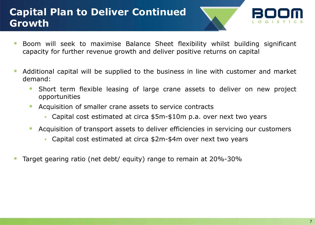### **Capital Plan to Deliver Continued Growth**



- **Boom** will seek to maximise Balance Sheet flexibility whilst building significant capacity for further revenue growth and deliver positive returns on capital
- Additional capital will be supplied to the business in line with customer and market demand:
	- Short term flexible leasing of large crane assets to deliver on new project opportunities
	- **Acquisition of smaller crane assets to service contracts** 
		- Capital cost estimated at circa \$5m-\$10m p.a. over next two years
	- Acquisition of transport assets to deliver efficiencies in servicing our customers
		- Capital cost estimated at circa \$2m-\$4m over next two years
- Target gearing ratio (net debt/ equity) range to remain at 20%-30%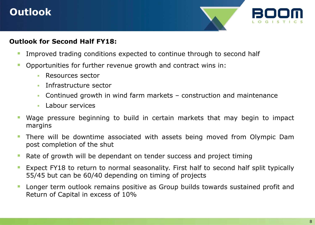## **Outlook**



#### **Outlook for Second Half FY18:**

- **IMPROVED 1.5 Improved trading conditions expected to continue through to second half**
- **Deportunities for further revenue growth and contract wins in:** 
	- **Resources sector**
	- **Infrastructure sector**
	- Continued growth in wind farm markets construction and maintenance
	- $\blacksquare$  Labour services
- Wage pressure beginning to build in certain markets that may begin to impact margins
- There will be downtime associated with assets being moved from Olympic Dam post completion of the shut
- **Rate of growth will be dependant on tender success and project timing**
- **Expect FY18 to return to normal seasonality. First half to second half split typically** 55/45 but can be 60/40 depending on timing of projects
- **Longer term outlook remains positive as Group builds towards sustained profit and** Return of Capital in excess of 10%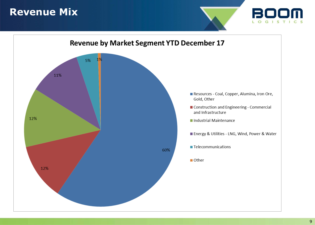#### **Revenue Mix**



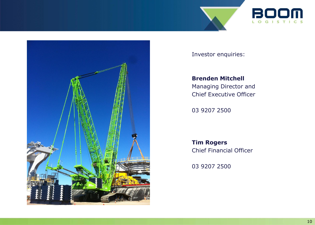





Investor enquiries:

**Brenden Mitchell** Managing Director and Chief Executive Officer

03 9207 2500

**Tim Rogers** Chief Financial Officer

03 9207 2500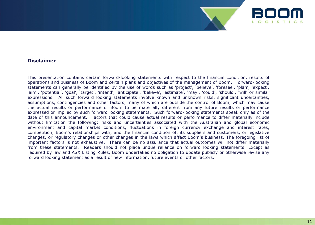

#### **Disclaimer**

This presentation contains certain forward-looking statements with respect to the financial condition, results of operations and business of Boom and certain plans and objectives of the management of Boom. Forward-looking statements can generally be identified by the use of words such as 'project', 'believe', 'foresee', 'plan', 'expect', 'aim', 'potential', 'goal', 'target', 'intend', 'anticipate', 'believe', 'estimate', 'may', 'could', 'should', 'will' or similar expressions. All such forward looking statements involve known and unknown risks, significant uncertainties, assumptions, contingencies and other factors, many of which are outside the control of Boom, which may cause the actual results or performance of Boom to be materially different from any future results or performance expressed or implied by such forward looking statements. Such forward-looking statements speak only as of the date of this announcement. Factors that could cause actual results or performance to differ materially include without limitation the following: risks and uncertainties associated with the Australian and global economic environment and capital market conditions, fluctuations in foreign currency exchange and interest rates, competition, Boom's relationships with, and the financial condition of, its suppliers and customers, or legislative changes, or regulatory changes or other changes in the laws which affect Boom's business. The foregoing list of important factors is not exhaustive. There can be no assurance that actual outcomes will not differ materially from these statements. Readers should not place undue reliance on forward looking statements. Except as required by law and ASX Listing Rules, Boom undertakes no obligation to update publicly or otherwise revise any forward looking statement as a result of new information, future events or other factors.